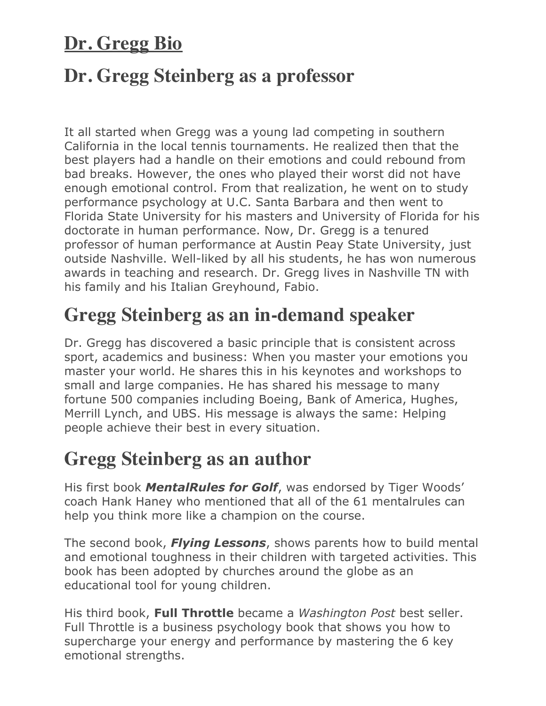## **Dr. Gregg Bio**

## **Dr. Gregg Steinberg as a professor**

It all started when Gregg was a young lad competing in southern California in the local tennis tournaments. He realized then that the best players had a handle on their emotions and could rebound from bad breaks. However, the ones who played their worst did not have enough emotional control. From that realization, he went on to study performance psychology at U.C. Santa Barbara and then went to Florida State University for his masters and University of Florida for his doctorate in human performance. Now, Dr. Gregg is a tenured professor of human performance at Austin Peay State University, just outside Nashville. Well-liked by all his students, he has won numerous awards in teaching and research. Dr. Gregg lives in Nashville TN with his family and his Italian Greyhound, Fabio.

## **Gregg Steinberg as an in-demand speaker**

Dr. Gregg has discovered a basic principle that is consistent across sport, academics and business: When you master your emotions you master your world. He shares this in his keynotes and workshops to small and large companies. He has shared his message to many fortune 500 companies including Boeing, Bank of America, Hughes, Merrill Lynch, and UBS. His message is always the same: Helping people achieve their best in every situation.

#### **Gregg Steinberg as an author**

His first book *MentalRules for Golf*, was endorsed by Tiger Woods' coach Hank Haney who mentioned that all of the 61 mentalrules can help you think more like a champion on the course.

The second book, *Flying Lessons*, shows parents how to build mental and emotional toughness in their children with targeted activities. This book has been adopted by churches around the globe as an educational tool for young children.

His third book, **Full Throttle** became a *Washington Post* best seller. Full Throttle is a business psychology book that shows you how to supercharge your energy and performance by mastering the 6 key emotional strengths.